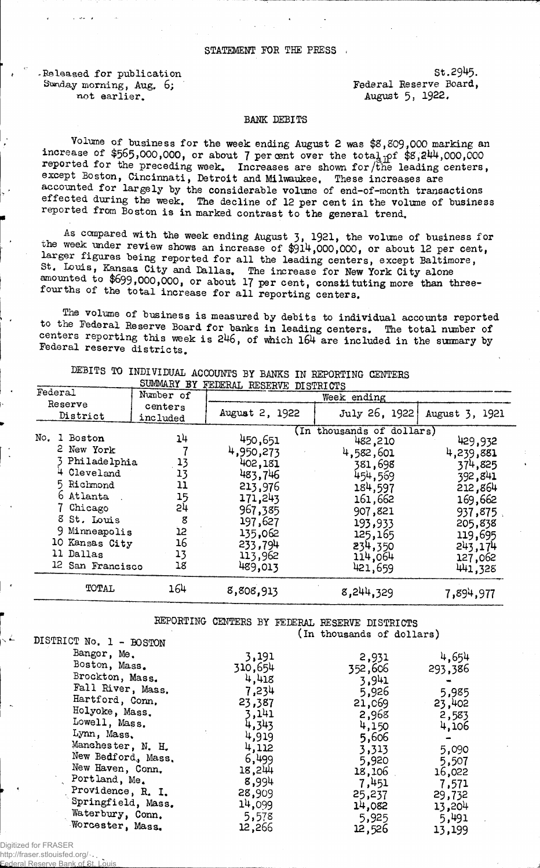Released for publication St.2945.<br>Sunday morning. Aug. 6: Sunday Federal Reserve Board, Sunday morning, Aug. 6; not earlier. August 5, 1922.

## BANK DEBITS

Volume of business for the week ending August 2 was \$8,809,000 marking an increase of  $$565,000,000$ , or about 7 per cent over the tota $_{\text{dipf}}$  \$8,244,000,000 reported for the preceding week. Increases are shown for the leading centers, except Boston, Cincinnati, Detroit and Milwaukee. These increases are accounted for largely by the considerable volume of end-of-month transactions effected during the week. The decline of 12 per cent in the volume of business reported from Boston is in marked contrast to the general trend.

As compared with the week ending August 3, 1921, the volume of business for the week under review shows an increase of  $$914,000,000$ , or about 12 per cent, larger figures being reported for all the leading centers, except Baltimore, . " was, nangas City and Dallas. The increase for New York City alone amounted to \$699,000,000, or about 17 per cent, constituting more than threefourths of the total increase for all reporting centers.

The volume of business is measured by debits to individual accounts reported to the Federal Reserve Board for banks in leading centers. The total number of centers reporting this week is 246, of which 164 are included in the summary by Federal reserve districts.

| SUMMARY BY<br>FEDERAL RESERVE DISTRICTS                                                                                                                                                  |                                                               |                                                                                                                                    |                                                                                                                                                                 |                                                                                                                                    |
|------------------------------------------------------------------------------------------------------------------------------------------------------------------------------------------|---------------------------------------------------------------|------------------------------------------------------------------------------------------------------------------------------------|-----------------------------------------------------------------------------------------------------------------------------------------------------------------|------------------------------------------------------------------------------------------------------------------------------------|
| Federal<br>Number of                                                                                                                                                                     |                                                               | Week ending                                                                                                                        |                                                                                                                                                                 |                                                                                                                                    |
| Reserve<br>District                                                                                                                                                                      | centers<br>included                                           | August 2, 1922                                                                                                                     | July 26, 1922                                                                                                                                                   | August 3, 1921                                                                                                                     |
| No.<br>Boston<br>1<br>2 New York<br>Philadelphia<br>4 Cleveland<br>5 Richmond<br>6 Atlanta<br>Chicago<br>8 St. Louis<br>9 Minneapolis<br>10 Kansas City<br>11 Dallas<br>12 San Francisco | 14<br>13<br>13<br>11<br>15<br>54<br>8<br>12<br>16<br>13<br>18 | 450,651<br>4,950,273<br>402,181<br>483,746<br>213,976<br>171,243<br>967,385<br>197,627<br>135,062<br>233,794<br>113,962<br>489,013 | (In thousands of dollars)<br>482,210<br>4,582,601<br>381,698<br>454,569<br>184,597<br>161,662<br>907,821<br>193,933<br>125,165<br>234,350<br>114,064<br>421,659 | 429,932<br>4,239,881<br>374,825<br>392,841<br>212,864<br>169,662<br>937,875<br>205,838<br>119,695<br>243,174<br>127,062<br>441,328 |
| TOTAL                                                                                                                                                                                    | 164                                                           | 8,808,913                                                                                                                          | 8,244,329                                                                                                                                                       | 7,894,977                                                                                                                          |

DEBITS TO INDIVIDUAL ACCOUNTS BY BANKS IN REPORTING CENTERS

REPORTING CENTERS BY FEDERAL RESERVE DISTRICTS (in thousands of dollars)

| ntotutet Mo" T = BORLOM |         |         |         |
|-------------------------|---------|---------|---------|
| Bangor, Me.             | 3,191   | 2,931   | 4,654   |
| Boston, Mass.           | 310,654 | 352,606 | 293,386 |
| Brockton, Mass.         | 4,418   | 3,941   |         |
| Fall River, Mass.       | 7,234   | 5,926   |         |
| Hartford, Conn.         |         |         | 5,985   |
|                         | 23,387  | 21,069  | 23,402  |
| Holyoke, Mass.          | 3,141   | 2,968   | 2,583   |
| Lowell, Mass.           | 4,343   | 4,150   | 4,106   |
| Lynn, Mass,             | 4,919   | 5,606   |         |
| Manchester, N. H.       | 4,112   | 3,313   | 5,090   |
| New Bedford, Mass.      | 6,499   | 5,920   | 5,507   |
| New Haven, Conn.        | 18,244  | 18,106  | 16,022  |
| Portland, Me.           | 8,994   |         |         |
|                         |         | 7,451   | 7,571   |
| Providence, R. I.       | 28,909  | 25,237  | 29,732  |
| Springfield, Mass.      | 14,099  | 14,082  | 13,204  |
| Waterbury, Conn.        | 5,578   | 5,925   | 5,491   |
| Worcester, Mass.        | 12,266  | 12,526  | 13,199  |
|                         |         |         |         |

Digitized for FRASER

http://fraser.stlouisfed.org/ Federal Reserve Bank of St. Louis

DISMONTAM<sub>DIS</sub>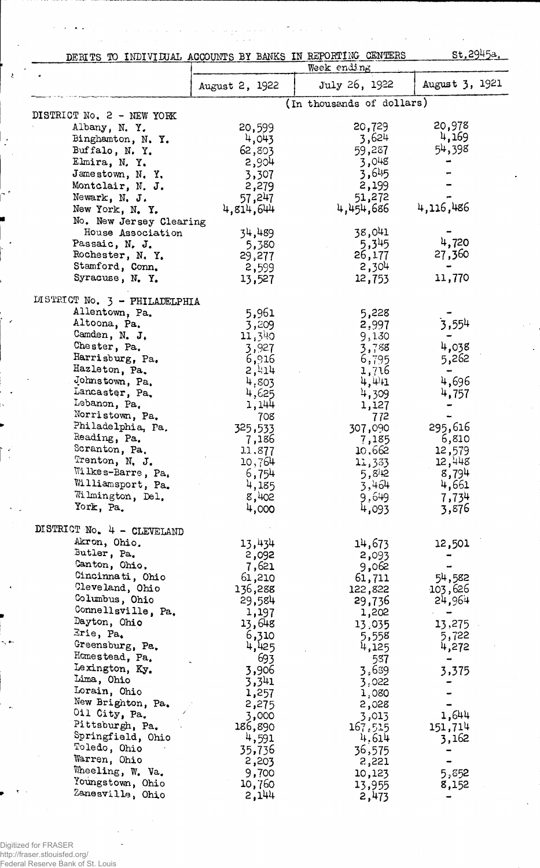| DEBITS TO INDIVIDUAL ACCOUNTS BY BANKS IN REPORTING CENTERS |                   |                           | st.2945a.         |
|-------------------------------------------------------------|-------------------|---------------------------|-------------------|
|                                                             |                   | Week ending               |                   |
|                                                             | August 2, 1922    | July 26, 1922             | August 3, 1921    |
| DISTRICT No. 2 - NEW YORK                                   |                   | (In thousands of dollars) |                   |
| Albany, N.Y.                                                | 20,599            | 20,729                    | 20,978            |
| Binghamton, N. Y.                                           | 4,043             | 3,624                     | 4,169             |
| Buffalo, N.Y.                                               | 62,803            | 59,287                    | 54,398            |
| Elmira, N.Y.                                                | 2,904             | 3,048                     |                   |
| Jamestown, N.Y.                                             | 3,307             | 3,645                     |                   |
| Montclair, N. J.                                            | 2,279             | 2,199                     |                   |
| Newark, N. J.                                               | 57,247            | 51,272                    | 4,116,486         |
| New York, N. Y.                                             | 4,814,644         | 4,454,686                 |                   |
| No. New Jersey Clearing<br>House Association                | 34,489            | 38,041                    |                   |
| Passaic, N. J.                                              | 5,380             | 5,345                     | 4,720             |
| Rochester, N.Y.                                             | 29,277            | 26,177                    | 27,360            |
| Stamford, Conn.                                             | 2,599             | 2,304                     |                   |
| Syracuse, N.Y.                                              | 13,527            | 12,753                    | 11,770            |
| DISTRICT No. 3 - PHILADELPHIA                               |                   |                           |                   |
| Allentown, Pa.                                              | 5,961             | 5,228                     |                   |
| Altoona, Pa.                                                | 3,209             | 2,997                     | 3,554             |
| Camden, N. J.<br>Chester, Pa.                               | 11,340            | 9,130                     | 4,038             |
| Harrisburg, Pa.                                             | 3,927             | 3,788                     |                   |
| Hazleton, Pa.                                               | 6,916<br>2,414    | 6,795<br>1,716            | 5,262             |
| Johnstown, Pa.                                              | 4,803             | $\frac{1}{2}$             | 4,696             |
| Lancaster, Pa.                                              | 4,625             | 4,309                     | 4,757             |
| Lebanon, Pa.                                                | 1,144             | 1,127                     |                   |
| Norristown, Pa.                                             | 708               | 772                       |                   |
| Philadelphia, Pa.                                           | 325,533           | 307,090                   | 295,616           |
| Reading, Pa.<br>Scranton, Pa.                               | 7,186             | 7,185<br>10,662           | 6,810             |
| Trenton, N. J.                                              | 11.877<br>10,764  | 11,333                    | 12,579<br>12,448  |
| Wilkes-Barre, Pa.                                           | 6,754             | 5,8/12                    | 8,794             |
| Williamsport, Pa.                                           | 4,185             | 3,464                     | 4,661             |
| Wilmington, Del.                                            | 8,402             | 9,649                     | 7,734             |
| York, Pa.                                                   | 4,000             | 4,093                     | 3,876             |
| DISTRICT No. 4 - CLEVELAND                                  |                   |                           |                   |
| Akron, Ohio.                                                | 13,434            | 14,673                    | 12,501            |
| Butler, Pa.                                                 | 2,092             | 2,093                     |                   |
| Canton, Ohio.<br>Cincinnati, Ohio                           | 7,621             | 9,062                     |                   |
| Cleveland, Ohio                                             | 61,210<br>136,288 | 61,711<br>122,822         | 54,582<br>103,626 |
| Columbus, Ohio                                              | 29,584            | 29,736                    | 24,964            |
| Connellsville, Pa.                                          | 1,197             | 1,202                     |                   |
| Dayton, Ohio                                                | 13,648            | 13,035                    | 13,275            |
| Erie, Pa.                                                   | 6,310             | 5,558                     | 5,722             |
| Greensburg, Pa.                                             | 4,425             | 4,125                     | 4,272             |
| Homestead, Pa.                                              | 693               | 587                       |                   |
| Lexington, Ky.<br>Lima, Ohio                                | 3,906             | 3,639                     | 3,375             |
| Lorain, Ohio                                                | 3,341<br>1,257    | 3.022<br>1,080            |                   |
| New Brighton, Pa.                                           | 2,275             | 2,028                     |                   |
| Oil City, Pa.                                               | 3,000             | 3,013                     | 1,644             |
| Pittsburgh, Pa.                                             | 186,890           | 167,515                   | 151,714           |
| Springfield, Ohio                                           | 4,591             | 4,614                     | 3,162             |
| Toledo, Ohio                                                | 35,736            | 36,575                    |                   |
| Warren, Ohio                                                | 2,203             | 2,221                     |                   |
| Wheeling, W. Va.<br>Youngstown, Ohio                        | 9,700<br>10,760   | 10,123                    | 5,852             |
| Zanesville, Ohio                                            | 2,144             | 13,955<br>2,473           | 8,152             |

 $\sim 8\times 10^{12}$ 

 $\sim$  $\ddot{\phantom{a}}$   $\mathcal{L}^{\mathcal{L}}(\mathcal{A})$  .

 $\langle \phi_{\rm{max}} \rangle$  and  $\langle \phi_{\rm{max}} \rangle$ 

 $\gamma$  ,  $\gamma$ 

 $\ddot{\phantom{a}}$ 

 $\bar{\xi}$ 

 $\bar{\psi}$ 

 $\bar{z}$ 

 $\overline{a}$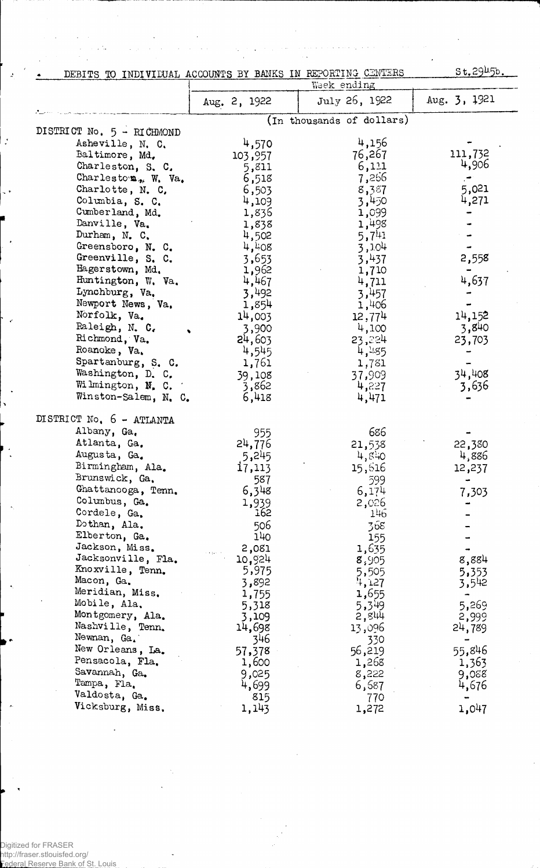| DEBITS TO INDIVIDUAL ACCOUNTS BY BANKS IN REPORTING CENTERS | $st, 29\nu5b.$ |                              |              |
|-------------------------------------------------------------|----------------|------------------------------|--------------|
|                                                             |                | Week ending<br>July 26, 1922 | Aug. 3, 1921 |
|                                                             | Aug. 2, 1922   |                              |              |
|                                                             |                | (In thousands of dollars)    |              |
| DISTRICT No. 5 - RICHMOND                                   |                |                              |              |
| Asheville, N. C.                                            | 4,570          | 4,156                        | 111,732      |
| Baltimore, Md.                                              | 103,957        | 76,267<br>6,111              | 4,906        |
| Charleston, S. C.<br>Charleston, W. Va.                     | 5,811          | 7,266                        |              |
| Charlotte, N. C.                                            | 6,518          | 8,387                        | 5,021        |
| Columbia, S. C.                                             | 6,503<br>4,109 | 3,450                        | 4,271        |
| Cumberland, Md.                                             | 1,836          | 1,099                        |              |
| Danville, Va.                                               | 1,838          | 1,498                        |              |
| Durham, N. C.                                               | 4,502          | $5,7^{41}$                   |              |
| Greensboro, N. C.                                           | 4,408          | 3,104                        |              |
| Greenville, S. C.                                           | 3,653          | 3,437                        | 2,558        |
| Hagerstown, Md.                                             | 1,962          | 1,710                        |              |
| Huntington, W. Va.                                          | 4,467          | 4,711                        | 4,637        |
| Lynchburg, Va.                                              | 3,492          | 3,457                        |              |
| Newport News, Va.                                           | 1,854          | 1,406                        |              |
| Norfolk, Va.                                                | 14,003         | 12,774                       | 14,152       |
| Raleigh, N. C.                                              | 3,900          | 4,100                        | 3,840        |
| Richmond, Va.                                               | 24,603         | 23,224                       | 23,703       |
| Roanoke, Va.                                                | 4,545          | 4,455                        |              |
| Spartanburg, S. C.                                          | 1,761          | 1,781                        |              |
| Washington, D. C.                                           | 39,108         | 37,909                       | 34,408       |
| Wilmington, N. C.                                           | 3,862          | 4,227                        | 3,636        |
| Winston-Salem, N. C.                                        | 6,418          | 4,471                        |              |
| DISTRICT No. 6 - ATLANTA                                    |                |                              |              |
| Albany, Ga.                                                 | 955            | 686                          |              |
| Atlanta, Ga.                                                | 24,776         | 21,538                       | 22,380       |
| Augusta, Ga.                                                | 5,245          | 4,840                        | 4,886        |
| Birmingham, Ala.                                            | i7,113         | 15,616                       | 12,237       |
| Brunswick, Ga.                                              | 587            | 599                          |              |
| Ghattanooga, Tenn.                                          | 6,348          | 6,174                        |              |
| Columbus, Ga.                                               | 1,939          | 2,026                        | 7,303        |
| Cordele, Ga.                                                | 162            | 146                          |              |
| Dothan, Ala.                                                | 506            | 368                          |              |
| Elberton, Ga.                                               | 140            | 155                          |              |
| Jackson, Miss.                                              | 2,081          | 1,635                        |              |
| Jacksonville, Fla.                                          | 10,924         | 8,905                        | 8,884        |
| Knoxville, Tenn.                                            | 5,975          | 5,505                        | 5,353        |
| Macon, Ga.                                                  | 3,892          | 4,127                        | 3,542        |
| Meridian, Miss.                                             | 1,755          | 1,655                        | -            |
| Mobile, Ala.                                                | 5,318          | 5,349                        | 5,269        |
| Montgomery, Ala.                                            | 3,109          | 2,844                        | 2,999        |
| Nashville, Tenn.                                            | 14,698         | 13,096                       | 24,789       |
| Newnan, Ga.                                                 | 346            | 330                          | ÷            |
| New Orleans, La.                                            | 57,378         | 56,219                       | 55,846       |
| Pensacola, Fla.                                             | 1,600          | 1,268                        | 1,363        |
| Savannah, Ga.                                               | 9,025          | 8,222                        | 9,088        |
| Tampa, Fla.                                                 | 4,699          | 6,687                        | 4,676        |
| Valdosta, Ga.                                               | 815            | 770                          |              |
| Vicksburg, Miss.                                            | 1,143          | 1,272                        | 1,047        |

ł,

 $\bar{z}$  .

is i J.

 $\bar{z}$ 

÷.

÷.

J

 $\mathbb{Z}$ 

 $\frac{1}{2}$ 

 $\mathbf{L}$ 

l,

 $\tilde{\mathbf{A}}$ 

 $\mathcal{L}_{\text{in}}$ 

Digitized for FRASER http://fraser.stlouisfed.org/ Federal Reserve Bank of St. Louis ÷.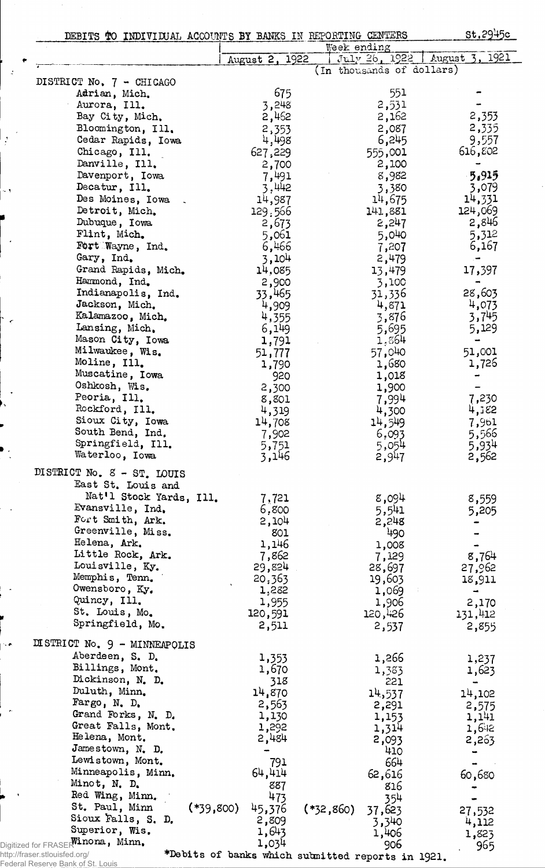| DEBITS TO INDIVIDUAL ACCOUNTS BY BANKS IN REPORTING CENTERS |                       |                           |                | st.2945c                          |
|-------------------------------------------------------------|-----------------------|---------------------------|----------------|-----------------------------------|
|                                                             |                       | Week ending               |                |                                   |
|                                                             | August 2, 1922        | (In thousands of dollars) |                | 1921<br>July 26, 1922   August 3, |
| DISTRICT No. 7 - CHICAGO                                    |                       |                           |                |                                   |
| Adrian, Mich.                                               | 675                   |                           | 551            |                                   |
| Aurora, Ill.                                                | 3,248                 |                           | 2,531          |                                   |
| Bay City, Mich.                                             | 2,462                 |                           | 2,162          | 2,353                             |
| Bloomington, Ill.                                           | 2,353                 |                           | 2,087          | 2,335                             |
| Cedar Rapids, Iowa                                          | 4,498                 |                           | 6,245          | 9,557                             |
| Chicago, Ill.                                               | 627,229               |                           | 555,001        | 616,802                           |
| Danville, Ill.                                              | 2,700                 |                           | 2,100          |                                   |
| Davenport, Iowa                                             | 7,491                 |                           | 8,982          | 5.915                             |
| Decatur, Ill.                                               | 3,442                 |                           | 3,380          | 3,079                             |
| Des Moines, Iowa                                            | 14,987                |                           | 14,675         | 14,331                            |
| Detroit, Mich.                                              | 129,566               |                           | 141,881        | 124,069                           |
| Dubuque, Iowa                                               | 2,673                 |                           | 2,247          | 2,846                             |
| Flint, Mich.                                                | 5,061                 |                           | 5,040          | 5,312                             |
| Fort Wayne, Ind.                                            | 6,466                 |                           | 7,207          | 6,167                             |
| Gary, Ind.                                                  | 3,104                 |                           | 2,479          |                                   |
| Grand Rapids, Mich.                                         | 14,085                |                           | 13,479         | 17,397                            |
| Hammond, Ind.                                               | 2,900                 |                           | 3,100          |                                   |
| Indianapolis, Ind.<br>Jackson, Mich.                        | 33,465                |                           | 31,336         | 28,603                            |
| Kalamazoo, Mich.                                            | 4,909                 |                           | 4,871<br>3,876 | 4,073<br>3,745                    |
| Lansing, Mich.                                              | 4,355<br>6,149        |                           | 5,695          | 5,129                             |
| Mason City, Iowa                                            | 1,791                 |                           | 1,864          |                                   |
| Milwaukee, Wis.                                             | 51,777                |                           | 57,040         | 51,001                            |
| Moline, Ill.                                                | 1,790                 |                           | 1,680          | 1,726                             |
| Muscatine, Iowa                                             | 920                   |                           | 1,018          |                                   |
| Oshkosh, Wis.                                               | 2,300                 |                           | 1,900          |                                   |
| Peoria, Ill.                                                | 8,801                 |                           | 7,994          | 7,230                             |
| Rockford, Ill.                                              | 4,319                 |                           | 4,300          | 4,182                             |
| Sioux City, Iowa                                            | 14,708                |                           | 14,549         | 7,961                             |
| South Bend, Ind.                                            | 7,902                 |                           | 6,093          | 5,566                             |
| Springfield, Ill.                                           | 5,751                 |                           | 5,054          | 5,934                             |
| Waterloo, Iowa                                              | 3,146                 |                           | 2,947          | 2,562                             |
| DISTRICT No. 8 - ST. LOUIS                                  |                       |                           |                |                                   |
| East St. Louis and                                          |                       |                           |                |                                   |
| Nat'l Stock Yards, Ill.                                     | 7,721                 |                           | 8,094          | 8,559                             |
| Evansville, Ind.                                            | 6,800                 |                           | 5,541          | 5,205                             |
| Fort Smith, Ark.                                            | 2,104                 |                           | 2,248          |                                   |
| Greenville, Miss.                                           | 801                   |                           | 490            |                                   |
| Helena, Ark.                                                | 1,146                 |                           | 1,008          |                                   |
| Little Rock, Ark.<br>Louisville, Ky.                        | 7,862                 |                           | 7,129          | 8,764                             |
| Memphis, Tenn.                                              | 29,824                |                           | 28,697         | 27,962                            |
| Owensboro, Ky.                                              | 20,363                |                           | 19,603         | 18,911                            |
| Quincy, Ill.                                                | 1,282<br>1,955        |                           | 1,069<br>1,906 | $\overline{\phantom{a}}$          |
| St. Louis, Mo.                                              | 120,591               |                           | 120,426        | 2,170<br>131,412                  |
| Springfield, Mo.                                            | 2,511                 |                           | 2,537          | 2,855                             |
|                                                             |                       |                           |                |                                   |
| DISTRICT No. 9 - MINNEAPOLIS                                |                       |                           |                |                                   |
| Aberdeen, S. D.                                             | 1,353                 |                           | 1,266          | 1,237                             |
| Billings, Mont.                                             | 1,670                 |                           | 1,383          | 1,623                             |
| Dickinson, N. D.                                            | 318                   |                           | 221            | $\blacksquare$                    |
| Duluth, Minn.                                               | 14,870                |                           | 14,537         | 14,102                            |
| Fargo, N. D.                                                | 2,563                 |                           | 2,291          | 2,575                             |
| Grand Forks, N. D.                                          | 1,130                 |                           | 1,153          | 1,141                             |
| Great Falls, Mont.                                          | 1,292                 |                           | 1,314          | 1,642                             |
| Helena, Mont.                                               | 2,484                 |                           | 2,093          | 2,263                             |
| Jamestown, N. D.<br>Lewistown, Mont.                        |                       |                           | 410            |                                   |
| Minneapolis, Minn.                                          | 791                   |                           | 664            |                                   |
| Minot, N. D.                                                | 64,414                |                           | 62,616         | 60,680                            |
| Red Wing, Minn.                                             | 887<br>473            |                           | 816            |                                   |
| St. Paul, Minn                                              | $(*39,800)$<br>45,376 |                           | 354            |                                   |
| Sioux Falls, S. D.                                          | 2,809                 | $(*32,860)$               | 37,623         | 27,532                            |
| Superior, Wis.                                              | 1,643                 |                           | 3,340<br>1,406 | 4,112                             |
| Digitized for FRASERTinona, Minn.                           | 1,034                 |                           | 906            | 1,823<br>965                      |

http://fraser.stlouisfed.org/ Federal Reserve Bank of St. Louis ♦Debits of banks which submitted reports in 1921.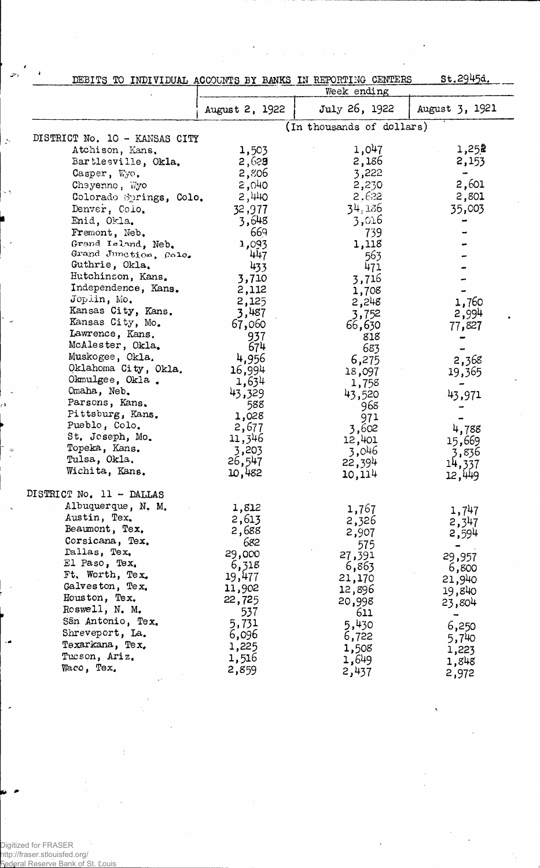|                               |                | DEBITS TO INDIVIDUAL ACCOUNTS BY BANKS IN REPORTING CENTERS | st.2945d.      |
|-------------------------------|----------------|-------------------------------------------------------------|----------------|
|                               |                | Week ending                                                 |                |
|                               | August 2, 1922 | July 26, 1922                                               | August 3, 1921 |
|                               |                | (In thousands of dollars)                                   |                |
| DISTRICT No. 10 - KANSAS CITY |                |                                                             |                |
| Atchison, Kans.               | 1,503          | 1,047                                                       | 1,252          |
| Bartlesville, Okla.           | 2,628          | 2,186                                                       | 2,153          |
| Casper, Wyo.                  | 2,806          | 3,222                                                       | $\blacksquare$ |
| Cheyenne, Wyo                 | 2,040          | 2,230                                                       | 2,601          |
| Colorado Springs, Colo.       | 2,440          | 2.622                                                       | 2,801          |
| Denver, Colo.                 | 32,977         | 34,186                                                      | 35,003         |
| Enid, Okla.                   | 3,648          | 3,016                                                       |                |
| Fremont, Neb.                 | 669            | 739                                                         |                |
| Grand Island, Neb.            | 1,093          | 1,118                                                       |                |
| Grand Junction, Colo.         | 447            | 563                                                         |                |
| Guthrie, Okla.                | 433            | 471                                                         |                |
| Hutchinson, Kans.             | 3,710          | 3,716                                                       |                |
| Independence, Kans.           | 2,112          | 1,708                                                       |                |
| Joplin, Mo.                   | 2,125          |                                                             |                |
| Kansas City, Kans.            | 3,487          | 2,248                                                       | 1,760          |
| Kansas City, Mo.              | 67,060         | 3,752                                                       | 2,994          |
| Lawrence, Kans.               |                | 66,630                                                      | 77,827         |
| McAlester, Okla.              | 937<br>674     | 818                                                         |                |
| Muskogee, Okla.               |                | 683                                                         |                |
| Oklahoma City, Okla.          | 4,956          | 6,275                                                       | 2,368          |
| Okmulgee, Okla.               | 16,994         | 18,097                                                      | 19,365         |
| Omaha, Neb.                   | 1,634          | 1,758                                                       |                |
| Parsons, Kans.                | 43,329         | 43,520                                                      | 43,971         |
| Pittsburg, Kans.              | 588            | 968                                                         |                |
| Pueblo, Colo.                 | 1,028          | 971                                                         |                |
| St. Joseph, Mo.               | 2,677          | 3,602                                                       | 4,788          |
|                               | 11,346         | 12,401                                                      | 15,669         |
| Topeka, Kans.                 | 3,203          | 3,046                                                       | 3,836          |
| Tulsa, Okla.                  | 26,547         | 22,394                                                      | 14,337         |
| Wichita, Kans.                | 10,482         | 10,114                                                      | 12,449         |
| DISTRICT No. 11 - DALLAS      |                |                                                             |                |
| Albuquerque, N. M.            | 1,812          | 1,767                                                       | 1,747          |
| Austin, Tex.                  | 2,613          | 2,326                                                       | 2,347          |
| Beaumont, Tex.                | 2,688          | 2,907                                                       | 2,594          |
| Corsicana, Tex.               | 682            | 575                                                         |                |
| Dallas, Tex.                  | 29,000         | 27,391                                                      | 29,957         |
| El Paso, Tex.                 | 6,318          | 6,863                                                       | 6,800          |
| Ft. Worth, Tex.               | 19,477         | 21,170                                                      | 21,940         |
| Galveston, Tex.               | 11,902         | 12,896                                                      | 19,840         |
| Houston, Tex.                 | 22,725         | 20,998                                                      |                |
| Roswell, N. M.                | 537            | 611                                                         | 23,804         |
| San Antonio, Tex.             | 5,731          | 5,430                                                       |                |
| Shreveport, La.               | 6,096          |                                                             | 6,250          |
| Texarkana, Tex.               | 1,225          | 6,722                                                       | 5,740          |
| Tucson, Ariz.                 | 1,516          | 1,508                                                       | 1,223          |
| Waco, Tex.                    | 2,859          | 1,649<br>2,437                                              | 1,848<br>2,972 |

.<br>Digitized for FRASER<br>http://fraser.stlouisfed.org/<br>Rederal Reserve Bank of St.

 $\ddot{\phantom{1}}$